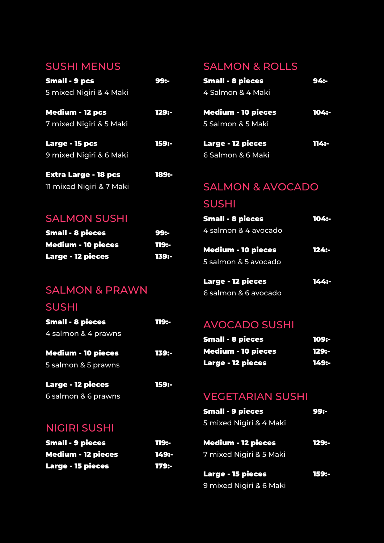## SUSHI MENUS

| <b>Small - 9 pcs</b>        | 99:-  |
|-----------------------------|-------|
| 5 mixed Nigiri & 4 Maki     |       |
| <b>Medium - 12 pcs</b>      | 129:- |
| 7 mixed Nigiri & 5 Maki     |       |
| Large - 15 pcs              | 159:- |
| 9 mixed Nigiri & 6 Maki     |       |
| <b>Extra Large - 18 pcs</b> | 189:- |

# SALMON & ROLLS

| <b>Small - 8 pieces</b> | 94: |
|-------------------------|-----|
| 4 Salmon & 4 Maki       |     |
|                         |     |

Medium - 10 pieces 104:- 5 Salmon & 5 Maki

| <b>Large - 12 pieces</b> | 1149- |
|--------------------------|-------|
| 6 Salmon & 6 Maki        |       |

# SALMON & AVOCADO

# SUSHI

| <b>Small - 8 pieces</b>   | 104:- |
|---------------------------|-------|
| 4 salmon & 4 avocado      |       |
|                           |       |
| <b>Medium - 10 pieces</b> | 124:- |
| 5 salmon & 5 avocado      |       |
|                           |       |
| <b>Large - 12 pieces</b>  | 144:- |
|                           |       |

6 salmon & 6 avocado

# AVOCADO SUSHI

| <b>Small - 8 pieces</b>   | 109:- |
|---------------------------|-------|
| <b>Medium - 10 pieces</b> | 1298- |
| <b>Large - 12 pieces</b>  | 149:- |

# VEGETARIAN SUSHI

| <b>Small - 9 pieces</b>   | 99:-  |
|---------------------------|-------|
| 5 mixed Nigiri & 4 Maki   |       |
| <b>Medium - 12 pieces</b> | 129:- |
| 7 mixed Nigiri & 5 Maki   |       |
| <b>Large - 15 pieces</b>  | 1598- |
| 9 mixed Nigiri & 6 Maki   |       |
|                           |       |

# SALMON SUSHI

11 mixed Nigiri & 7 Maki

| <b>Small - 8 pieces</b>   | 99:-  |
|---------------------------|-------|
| <b>Medium - 10 pieces</b> | 119:- |
| <b>Large - 12 pieces</b>  | 139:- |

# SALMON & PRAWN

# SUSHI

| <b>Small - 8 pieces</b>                          | 119:- |
|--------------------------------------------------|-------|
| 4 salmon & 4 prawns                              |       |
| <b>Medium - 10 pieces</b><br>5 salmon & 5 prawns | 1398- |
| <b>Large - 12 pieces</b>                         | 159:- |

6 salmon & 6 prawns

# NIGIRI SUSHI

| <b>Small - 9 pieces</b>   | 119:- |
|---------------------------|-------|
| <b>Medium - 12 pieces</b> | 149:- |
| <b>Large - 15 pieces</b>  | 179:- |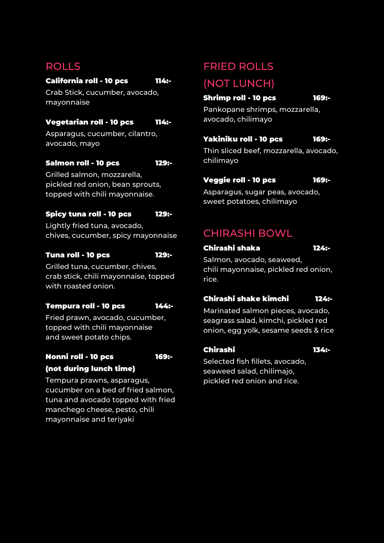# ROLLS

### California roll - 10 pcs 114:-

Crab Stick, cucumber, avocado, mayonnaise

### Vegetarian roll - 10 pcs 114:-

Asparagus, cucumber, cilantro, avocado, mayo

### Salmon roll - 10 pcs 129:-

Grilled salmon, mozzarella, pickled red onion, bean sprouts, topped with chili mayonnaise.

### Spicy tuna roll - 10 pcs 129:-

Lightly fried tuna, avocado, chives, cucumber, spicy mayonnaise

### Tuna roll - 10 pcs 129:-

Grilled tuna, cucumber, chives, crab stick, chili mayonnaise, topped with roasted onion.

### Tempura roll - 10 pcs 144:-

Fried prawn, avocado, cucumber, topped with chili mayonnaise and sweet potato chips.

### Nonni roll - 10 pcs 169:- (not during lunch time)

Tempura prawns, asparagus, cucumber on a bed of fried salmon, tuna and avocado topped with fried manchego cheese, pesto, chili mayonnaise and teriyaki

### FRIED ROLLS

# (NOT LUNCH)

Shrimp roll - 10 pcs 169:-

Pankopane shrimps, mozzarella, avocado, chilimayo

### Yakiniku roll - 10 pcs 169:-

Thin sliced beef, mozzarella, avocado, chilimayo

### Veggie roll - 10 pcs 169:-

Asparagus, sugar peas, avocado, sweet potatoes, chilimayo

# CHIRASHI BOWL

### Chirashi shaka 124:-

Salmon, avocado, seaweed, chili mayonnaise, pickled red onion, rice.

### Chirashi shake kimchi 124:-

Marinated salmon pieces, avocado, seagrass salad, kimchi, pickled red onion, egg yolk, sesame seeds & rice

### Chirashi 134:-

Selected fish fillets, avocado, seaweed salad, chilimajo, pickled red onion and rice.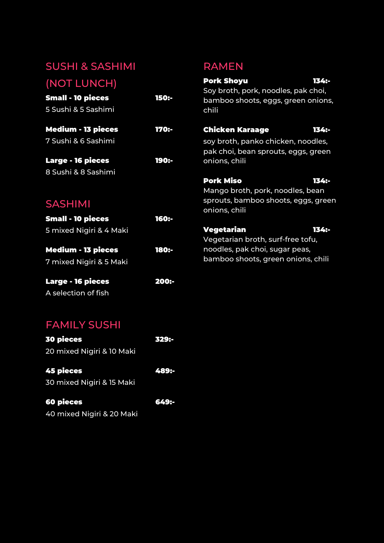# SUSHI & SASHIMI

# RAMEN

| (NOT LUNCH)<br><b>Small - 10 pieces</b><br>5 Sushi & 5 Sashimi | 150:- | <b>Pork Shoyu</b><br>Soy broth, pork, noodles, pak choi,<br>bamboo shoots, eggs, green onions,<br>chili | 1349- |
|----------------------------------------------------------------|-------|---------------------------------------------------------------------------------------------------------|-------|
| <b>Medium - 13 pieces</b>                                      | 170:- | Chicken Karaage                                                                                         | 1348- |
| 7 Sushi & 6 Sashimi                                            |       | soy broth, panko chicken, noodles,<br>pak choi, bean sprouts, eggs, green                               |       |
| <b>Large - 16 pieces</b>                                       | 190:- | onions, chili                                                                                           |       |
| 8 Sushi & 8 Sashimi                                            |       |                                                                                                         |       |
|                                                                |       | <b>Pork Miso</b><br>Mango broth, pork, noodles, bean                                                    | 1348- |
| <b>SASHIMI</b>                                                 |       | sprouts, bamboo shoots, eggs, green<br>onions, chili                                                    |       |
| <b>Small - 10 pieces</b>                                       | 160:- |                                                                                                         |       |
| 5 mixed Nigiri & 4 Maki                                        |       | Vegetarian<br>Vegetarian broth, surf-free tofu,                                                         | 1349- |
| <b>Medium - 13 pieces</b>                                      | 180:- | noodles, pak choi, sugar peas,                                                                          |       |
| 7 mixed Nigiri & 5 Maki                                        |       | bamboo shoots, green onions, chili                                                                      |       |

# SASHIMI

| <b>Small - 10 pieces</b>                             | <b>160:-</b> | .                               |
|------------------------------------------------------|--------------|---------------------------------|
| 5 mixed Nigiri & 4 Maki                              |              | <b>Vegetariar</b><br>Vegetarian |
| <b>Medium - 13 pieces</b><br>7 mixed Nigiri & 5 Maki | 180:-        | noodles, pa<br>bamboo sh        |
| <b>Large - 16 pieces</b>                             | 200:-        |                                 |
| A selection of fish                                  |              |                                 |

# FAMILY SUSHI

| <b>30 pieces</b>          | 329:- |
|---------------------------|-------|
| 20 mixed Nigiri & 10 Maki |       |
| <b>45 pieces</b>          | 489:- |
| 30 mixed Nigiri & 15 Maki |       |
| <b>60 pieces</b>          | 649:- |
| 40 mixed Nigiri & 20 Maki |       |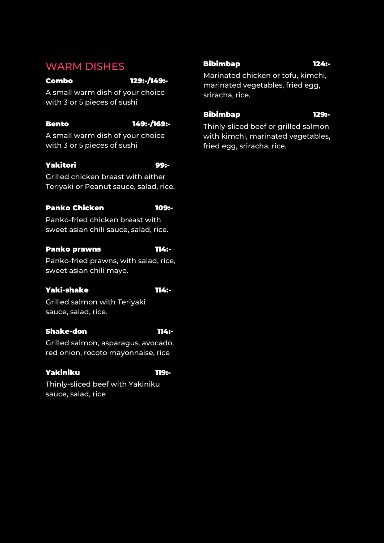### WARM DISHES

### Combo 129:-/149:-

A small warm dish of your choice with 3 or 5 pieces of sushi

### Bento 149:-/169:-

A small warm dish of your choice with 3 or 5 pieces of sushi

### Yakitori 99:-

Grilled chicken breast with either Teriyaki or Peanut sauce, salad, rice.

### Panko Chicken 109:-

Panko-fried chicken breast with sweet asian chili sauce, salad, rice.

### Panko prawns 114:-

Panko-fried prawns, with salad, rice, sweet asian chili mayo.

### Yaki-shake 114:-

Grilled salmon with Teriyaki sauce, salad, rice.

### Shake-don 114:-

Grilled salmon, asparagus, avocado, red onion, rocoto mayonnaise, rice

### Yakiniku 119:-

Thinly-sliced beef with Yakiniku sauce, salad, rice

### Bibimbap 124:-

Marinated chicken or tofu, kimchi, marinated vegetables, fried egg, sriracha, rice.

### Bibimbap 129:-

Thinly-sliced beef or grilled salmon with kimchi, marinated vegetables, fried egg, sriracha, rice.